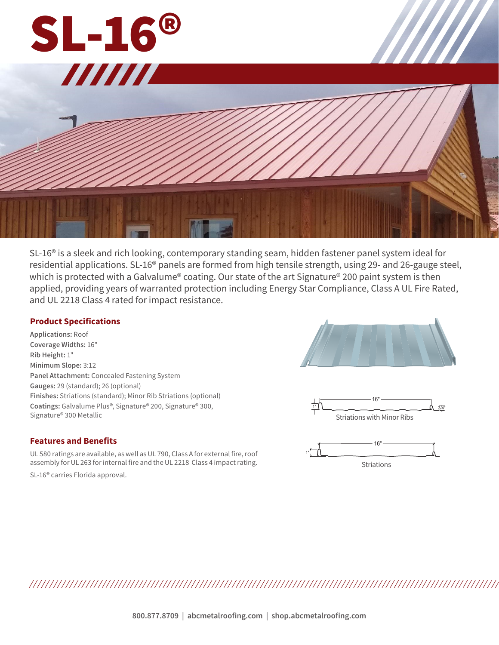

SL-16® is a sleek and rich looking, contemporary standing seam, hidden fastener panel system ideal for residential applications. SL-16® panels are formed from high tensile strength, using 29- and 26-gauge steel, which is protected with a Galvalume® coating. Our state of the art Signature® 200 paint system is then applied, providing years of warranted protection including Energy Star Compliance, Class A UL Fire Rated, and UL 2218 Class 4 rated for impact resistance.

## **Product Specifications**

**Applications:** Roof **Coverage Widths:** 16" **Rib Height:** 1" **Minimum Slope:** 3:12 **Panel Attachment:** Concealed Fastening System **Gauges:** 29 (standard); 26 (optional) **Finishes:** Striations (standard); Minor Rib Striations (optional) **Coatings:** Galvalume Plus®, Signature® 200, Signature® 300, Signature® 300 Metallic





## **Features and Benefits**

UL 580 ratings are available, as well as UL 790, Class A for external fire, roof assembly for UL 263 for internal fire and the UL 2218 Class 4 impact rating.

SL-16® carries Florida approval.